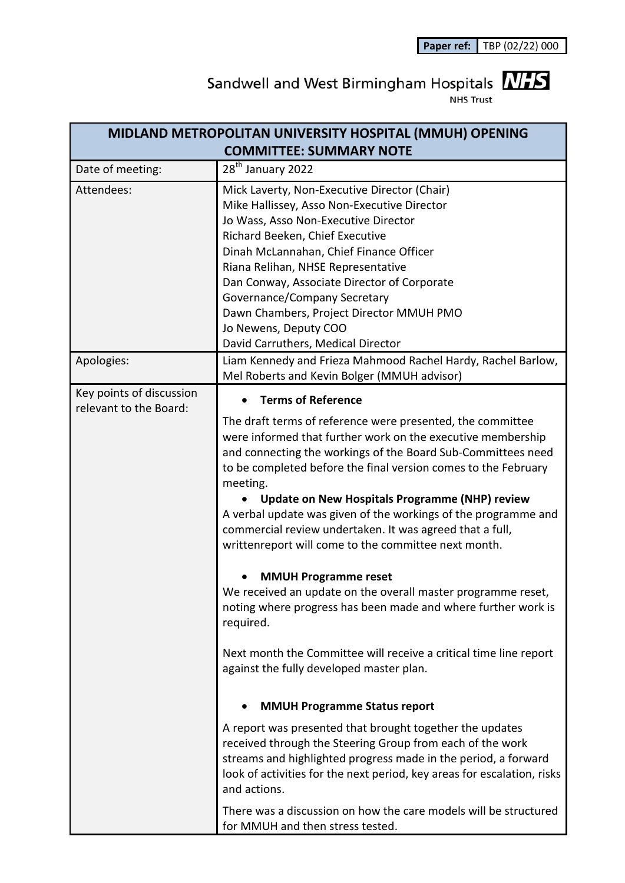**Paper ref:** TBP (02/22) 000

## Sandwell and West Birmingham Hospitals  $\frac{N}{15}$

| MIDLAND METROPOLITAN UNIVERSITY HOSPITAL (MMUH) OPENING |                                                                                                                                                                                                                                                                                                                                                                                                                                                                                                                                                       |
|---------------------------------------------------------|-------------------------------------------------------------------------------------------------------------------------------------------------------------------------------------------------------------------------------------------------------------------------------------------------------------------------------------------------------------------------------------------------------------------------------------------------------------------------------------------------------------------------------------------------------|
| <b>COMMITTEE: SUMMARY NOTE</b>                          |                                                                                                                                                                                                                                                                                                                                                                                                                                                                                                                                                       |
| Date of meeting:                                        | 28 <sup>th</sup> January 2022                                                                                                                                                                                                                                                                                                                                                                                                                                                                                                                         |
| Attendees:                                              | Mick Laverty, Non-Executive Director (Chair)<br>Mike Hallissey, Asso Non-Executive Director<br>Jo Wass, Asso Non-Executive Director<br>Richard Beeken, Chief Executive<br>Dinah McLannahan, Chief Finance Officer<br>Riana Relihan, NHSE Representative<br>Dan Conway, Associate Director of Corporate<br>Governance/Company Secretary<br>Dawn Chambers, Project Director MMUH PMO<br>Jo Newens, Deputy COO<br>David Carruthers, Medical Director                                                                                                     |
| Apologies:                                              | Liam Kennedy and Frieza Mahmood Rachel Hardy, Rachel Barlow,<br>Mel Roberts and Kevin Bolger (MMUH advisor)                                                                                                                                                                                                                                                                                                                                                                                                                                           |
| Key points of discussion<br>relevant to the Board:      | <b>Terms of Reference</b>                                                                                                                                                                                                                                                                                                                                                                                                                                                                                                                             |
|                                                         | The draft terms of reference were presented, the committee<br>were informed that further work on the executive membership<br>and connecting the workings of the Board Sub-Committees need<br>to be completed before the final version comes to the February<br>meeting.<br><b>Update on New Hospitals Programme (NHP) review</b><br>A verbal update was given of the workings of the programme and<br>commercial review undertaken. It was agreed that a full,<br>writtenreport will come to the committee next month.<br><b>MMUH Programme reset</b> |
|                                                         | We received an update on the overall master programme reset,<br>noting where progress has been made and where further work is<br>required.                                                                                                                                                                                                                                                                                                                                                                                                            |
|                                                         | Next month the Committee will receive a critical time line report<br>against the fully developed master plan.                                                                                                                                                                                                                                                                                                                                                                                                                                         |
|                                                         | <b>MMUH Programme Status report</b>                                                                                                                                                                                                                                                                                                                                                                                                                                                                                                                   |
|                                                         | A report was presented that brought together the updates<br>received through the Steering Group from each of the work<br>streams and highlighted progress made in the period, a forward<br>look of activities for the next period, key areas for escalation, risks<br>and actions.                                                                                                                                                                                                                                                                    |
|                                                         | There was a discussion on how the care models will be structured<br>for MMUH and then stress tested.                                                                                                                                                                                                                                                                                                                                                                                                                                                  |